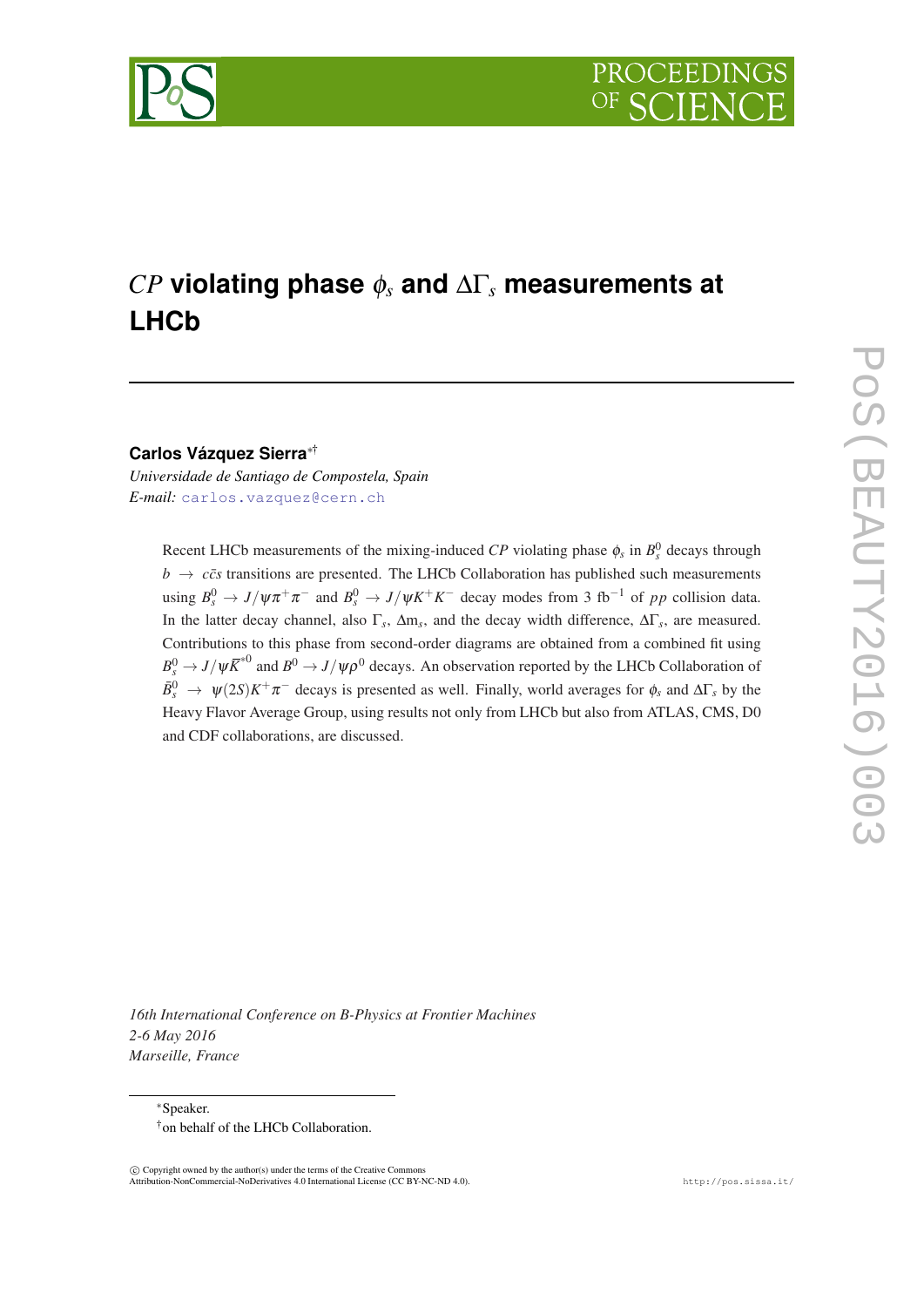

# *CP* **violating phase** φ*<sup>s</sup>* **and** ∆Γ*<sup>s</sup>* **measurements at LHCb**

#### **Carlos Vázquez Sierra**∗†

*Universidade de Santiago de Compostela, Spain E-mail:* [carlos.vazquez@cern.ch](mailto:carlos.vazquez@cern.ch)

> Recent LHCb measurements of the mixing-induced  $\mathbb{CP}$  violating phase  $\phi_s$  in  $B_s^0$  decays through  $b \rightarrow c\bar{c}s$  transitions are presented. The LHCb Collaboration has published such measurements using  $B_s^0 \to J/\psi \pi^+ \pi^-$  and  $B_s^0 \to J/\psi K^+ K^-$  decay modes from 3 fb<sup>-1</sup> of *pp* collision data. In the latter decay channel, also Γ*<sup>s</sup>* , ∆m*<sup>s</sup>* , and the decay width difference, ∆Γ*<sup>s</sup>* , are measured. Contributions to this phase from second-order diagrams are obtained from a combined fit using  $B_s^0 \to J/\psi \bar{K}^{*0}$  and  $B^0 \to J/\psi \rho^0$  decays. An observation reported by the LHCb Collaboration of  $\bar{B}_s^0$   $\to \psi(2S)K^+\pi^-$  decays is presented as well. Finally, world averages for  $\phi_s$  and  $\Delta\Gamma_s$  by the Heavy Flavor Average Group, using results not only from LHCb but also from ATLAS, CMS, D0 and CDF collaborations, are discussed.

*16th International Conference on B-Physics at Frontier Machines 2-6 May 2016 Marseille, France*

∗Speaker. †on behalf of the LHCb Collaboration.

 $\overline{c}$  Copyright owned by the author(s) under the terms of the Creative Common Attribution-NonCommercial-NoDerivatives 4.0 International License (CC BY-NC-ND 4.0). http://pos.sissa.it/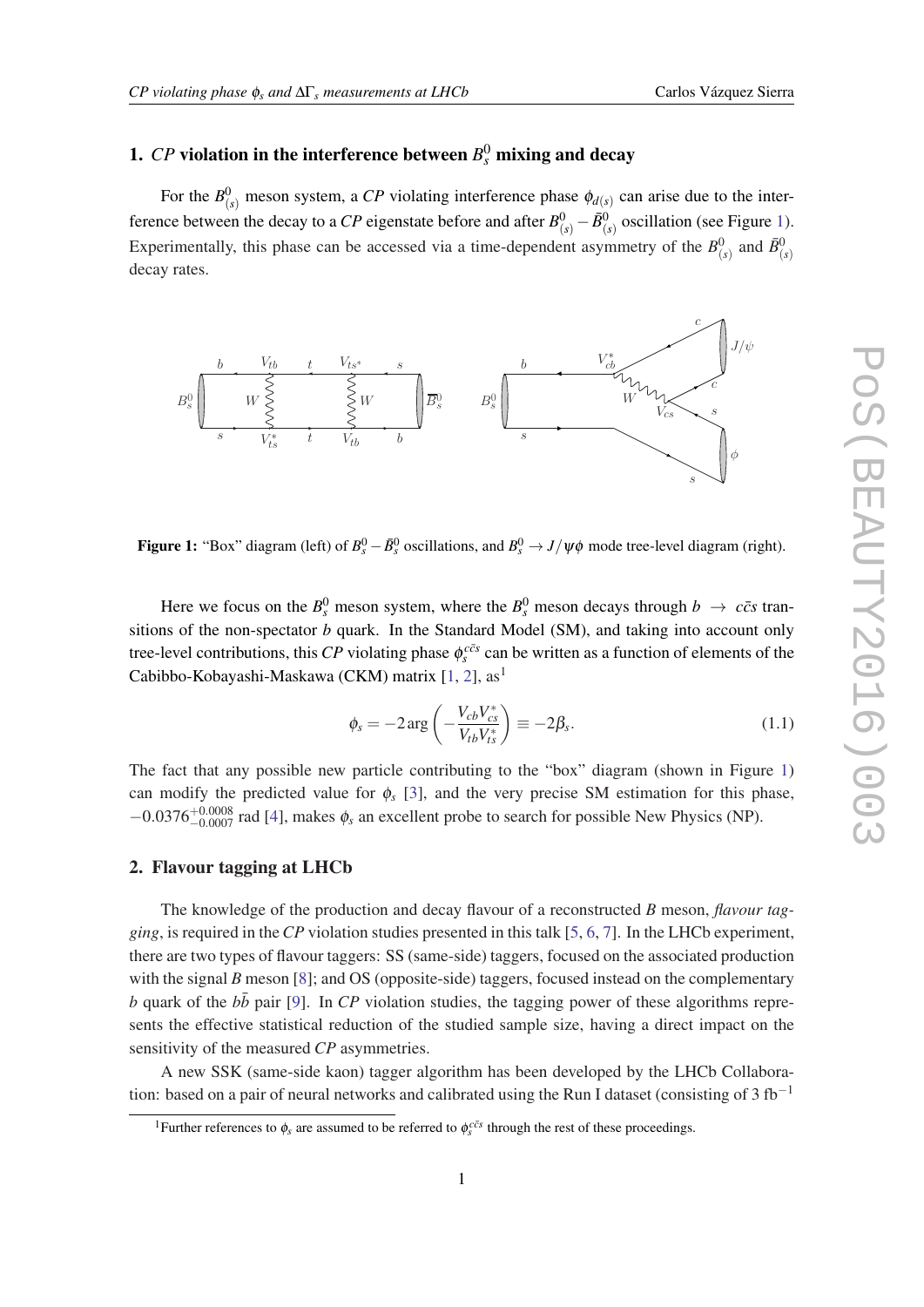### 1.  ${\it CP}$  violation in the interference between  ${\it B}^0_s$  mixing and decay

For the  $B^0_{(s)}$  meson system, a CP violating interference phase  $\phi_{d(s)}$  can arise due to the interference between the decay to a *CP* eigenstate before and after  $B^0_{(s)} - \bar{B}^0_{(s)}$  oscillation (see Figure 1). Experimentally, this phase can be accessed via a time-dependent asymmetry of the  $B^0_{(s)}$  and  $\bar{B}^0_{(s)}$ decay rates.



**Figure 1:** "Box" diagram (left) of  $B_s^0 - \bar{B}_s^0$  oscillations, and  $B_s^0 \to J/\psi \phi$  mode tree-level diagram (right).

Here we focus on the  $B_s^0$  meson system, where the  $B_s^0$  meson decays through  $b \to c\bar{c}s$  transitions of the non-spectator *b* quark. In the Standard Model (SM), and taking into account only tree-level contributions, this *CP* violating phase  $\phi_s^{c\bar{c}s}$  can be written as a function of elements of the Cabibbo-Kobayashi-Maskawa (CKM) matrix [[1](#page-6-0), [2](#page-7-0)], as<sup>1</sup>

$$
\phi_s = -2 \arg \left( -\frac{V_{cb} V_{cs}^*}{V_{tb} V_{ts}^*} \right) \equiv -2\beta_s. \tag{1.1}
$$

The fact that any possible new particle contributing to the "box" diagram (shown in Figure 1) can modify the predicted value for  $\phi_s$  [[3](#page-7-0)], and the very precise SM estimation for this phase,  $-0.0376^{+0.0008}_{-0.0007}$  rad [[4](#page-7-0)], makes  $\phi_s$  an excellent probe to search for possible New Physics (NP).

### 2. Flavour tagging at LHCb

The knowledge of the production and decay flavour of a reconstructed *B* meson, *flavour tagging*, is required in the*CP* violation studies presented in this talk [[5](#page-7-0), [6,](#page-7-0) [7](#page-7-0)]. In the LHCb experiment, there are two types of flavour taggers: SS (same-side) taggers, focused on the associated production with the signal *B* meson [\[8\]](#page-7-0); and OS (opposite-side) taggers, focused instead on the complementary  $b$  quark of the  $b\bar{b}$  pair [\[9\]](#page-7-0). In *CP* violation studies, the tagging power of these algorithms represents the effective statistical reduction of the studied sample size, having a direct impact on the sensitivity of the measured *CP* asymmetries.

A new SSK (same-side kaon) tagger algorithm has been developed by the LHCb Collaboration: based on a pair of neural networks and calibrated using the Run I dataset (consisting of 3 fb<sup>-1</sup>

<sup>&</sup>lt;sup>1</sup>Further references to  $\phi_s$  are assumed to be referred to  $\phi_s^{c\bar{c}s}$  through the rest of these proceedings.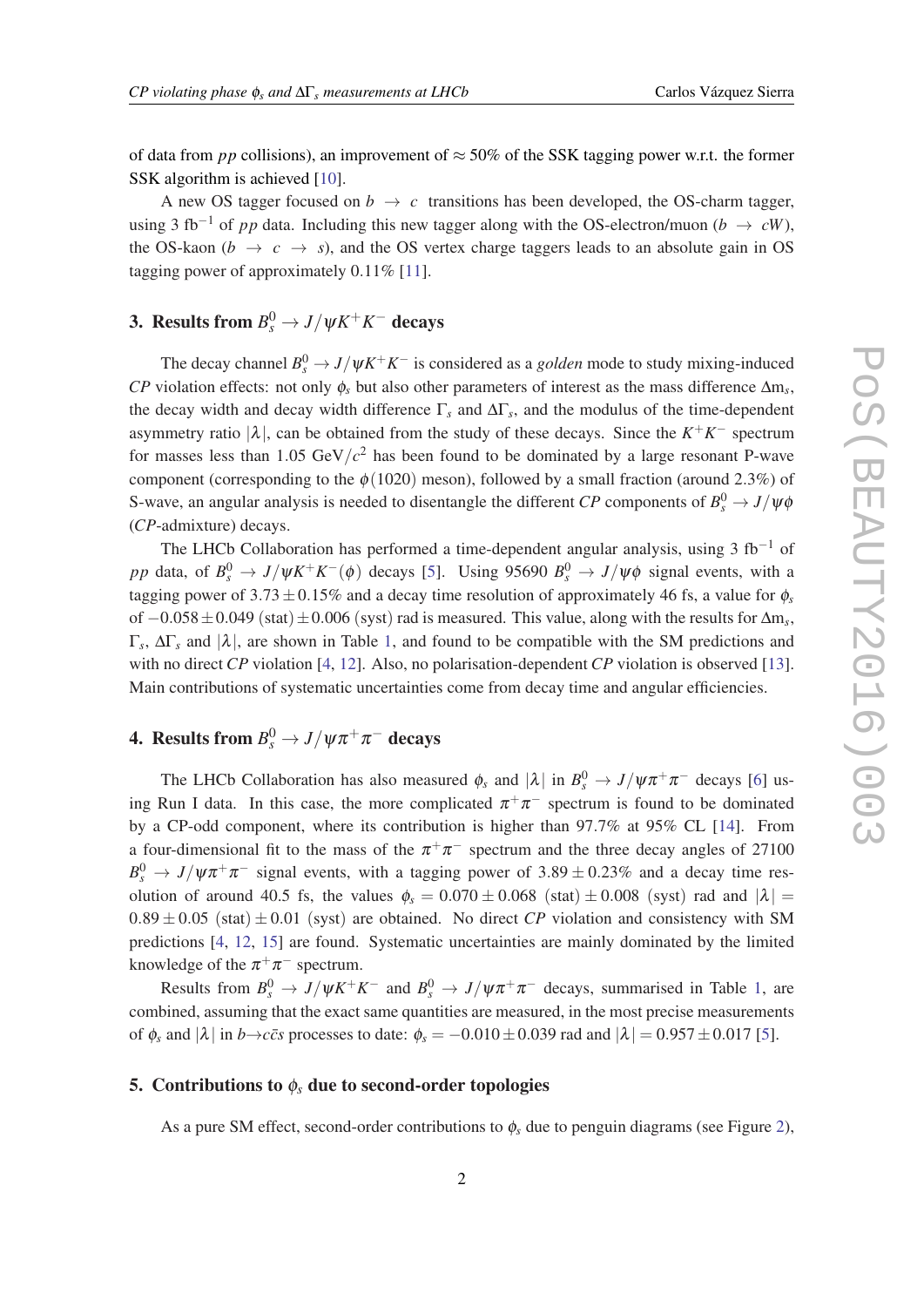of data from *pp* collisions), an improvement of  $\approx$  50% of the SSK tagging power w.r.t. the former SSK algorithm is achieved [[10\]](#page-7-0).

A new OS tagger focused on  $b \rightarrow c$  transitions has been developed, the OS-charm tagger, using 3 fb<sup>-1</sup> of *pp* data. Including this new tagger along with the OS-electron/muon (*b*  $\rightarrow$  *cW*), the OS-kaon ( $b \rightarrow c \rightarrow s$ ), and the OS vertex charge taggers leads to an absolute gain in OS tagging power of approximately 0.11% [[11\]](#page-7-0).

### 3. Results from  $B_s^0 \to J/\psi K^+ K^-$  decays

The decay channel  $B_s^0 \to J/\psi K^+ K^-$  is considered as a *golden* mode to study mixing-induced *CP* violation effects: not only  $\phi_s$  but also other parameters of interest as the mass difference  $\Delta m_s$ , the decay width and decay width difference  $\Gamma_s$  and  $\Delta\Gamma_s$ , and the modulus of the time-dependent asymmetry ratio  $|\lambda|$ , can be obtained from the study of these decays. Since the  $K^+K^-$  spectrum for masses less than  $1.05 \text{ GeV}/c^2$  has been found to be dominated by a large resonant P-wave component (corresponding to the  $\phi(1020)$  meson), followed by a small fraction (around 2.3%) of S-wave, an angular analysis is needed to disentangle the different *CP* components of  $B_s^0 \rightarrow J/\psi \phi$ (*CP*-admixture) decays.

The LHCb Collaboration has performed a time-dependent angular analysis, using 3 fb<sup>-1</sup> of *pp* data, of  $B_s^0 \to J/\psi K^+ K^-(\phi)$  decays [\[5\]](#page-7-0). Using 95690  $B_s^0 \to J/\psi \phi$  signal events, with a tagging power of 3.73  $\pm$  0.15% and a decay time resolution of approximately 46 fs, a value for  $\phi_s$ of −0.058±0.049 (stat)±0.006 (syst) rad is measured. This value, along with the results for ∆m*<sup>s</sup>* , Γ*s* , ∆Γ*<sup>s</sup>* and |λ|, are shown in Table [1,](#page-3-0) and found to be compatible with the SM predictions and with no direct *CP* violation [[4](#page-7-0), [12\]](#page-7-0). Also, no polarisation-dependent *CP* violation is observed [[13\]](#page-7-0). Main contributions of systematic uncertainties come from decay time and angular efficiencies.

### **4.** Results from  $B_s^0 \to J/\psi \pi^+ \pi^-$  decays

The LHCb Collaboration has also measured  $\phi_s$  and  $|\lambda|$  in  $B_s^0 \to J/\psi \pi^+ \pi^-$  decays [[6](#page-7-0)] using Run I data. In this case, the more complicated  $\pi^+\pi^-$  spectrum is found to be dominated by a CP-odd component, where its contribution is higher than 97.7% at 95% CL [[14\]](#page-7-0). From a four-dimensional fit to the mass of the  $\pi^+\pi^-$  spectrum and the three decay angles of 27100  $B_s^0 \rightarrow J/\psi \pi^+ \pi^-$  signal events, with a tagging power of 3.89  $\pm$  0.23% and a decay time resolution of around 40.5 fs, the values  $\phi_s = 0.070 \pm 0.068$  (stat)  $\pm 0.008$  (syst) rad and  $|\lambda|$  =  $0.89 \pm 0.05$  (stat)  $\pm 0.01$  (syst) are obtained. No direct *CP* violation and consistency with SM predictions [\[4,](#page-7-0) [12,](#page-7-0) [15](#page-7-0)] are found. Systematic uncertainties are mainly dominated by the limited knowledge of the  $\pi^+\pi^-$  spectrum.

Results from  $B_s^0 \to J/\psi K^+ K^-$  and  $B_s^0 \to J/\psi \pi^+ \pi^-$  decays, summarised in Table [1](#page-3-0), are combined, assuming that the exact same quantities are measured, in the most precise measurements of  $\phi_s$  and  $|\lambda|$  in *b*→*ccs* processes to date:  $\phi_s = -0.010 \pm 0.039$  rad and  $|\lambda| = 0.957 \pm 0.017$  $|\lambda| = 0.957 \pm 0.017$  $|\lambda| = 0.957 \pm 0.017$  [5].

#### 5. Contributions to  $\phi_s$  due to second-order topologies

As a pure SM effect, second-order contributions to  $\phi_s$  due to penguin diagrams (see Figure [2\)](#page-3-0),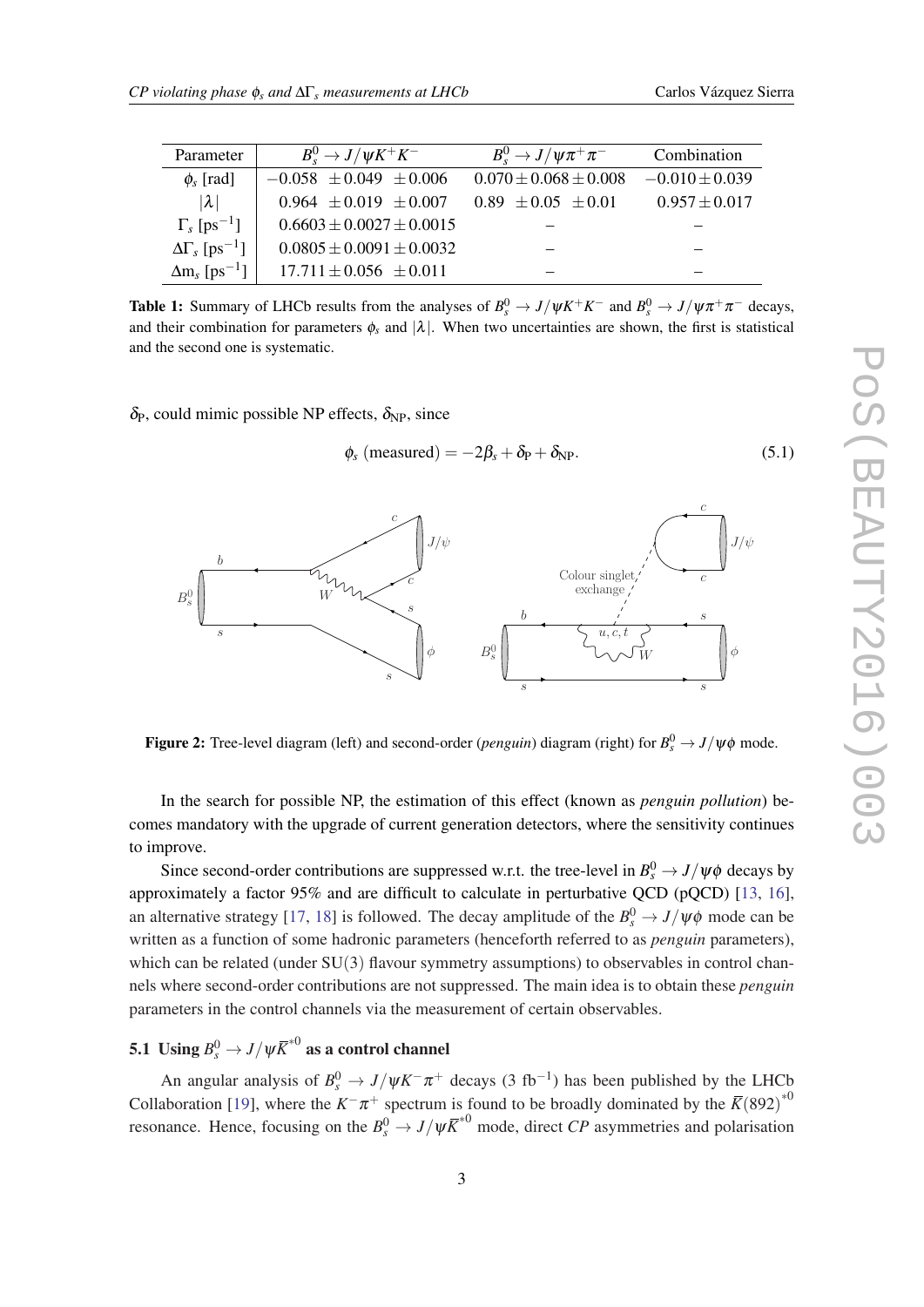<span id="page-3-0"></span>

| Parameter                            | $B_s^0 \rightarrow J/\psi K^+ K^-$ | $B_s^0 \rightarrow J/\psi \pi^+ \pi^-$ | Combination        |
|--------------------------------------|------------------------------------|----------------------------------------|--------------------|
| $\phi_s$ [rad]                       | $-0.058 \pm 0.049 \pm 0.006$       | $0.070 \pm 0.068 \pm 0.008$            | $-0.010 \pm 0.039$ |
| $ \lambda $                          | $0.964 \pm 0.019 \pm 0.007$        | $0.89 \pm 0.05 \pm 0.01$               | $0.957 \pm 0.017$  |
| $\Gamma_s$ [ps <sup>-1</sup> ]       | $0.6603 \pm 0.0027 \pm 0.0015$     |                                        |                    |
| $\Delta\Gamma_s$ [ps <sup>-1</sup> ] | $0.0805 \pm 0.0091 \pm 0.0032$     |                                        |                    |
| $\Delta m_s$ [ps <sup>-1</sup> ]     | $17.711 \pm 0.056 \pm 0.011$       |                                        |                    |

**Table 1:** Summary of LHCb results from the analyses of  $B_s^0 \to J/\psi K^+ K^-$  and  $B_s^0 \to J/\psi \pi^+ \pi^-$  decays, and their combination for parameters  $\phi_s$  and  $|\lambda|$ . When two uncertainties are shown, the first is statistical and the second one is systematic.

 $\delta_{\rm P}$ , could mimic possible NP effects,  $\delta_{\rm NP}$ , since

$$
\phi_s \text{ (measured)} = -2\beta_s + \delta_P + \delta_{\text{NP}}.\tag{5.1}
$$



Figure 2: Tree-level diagram (left) and second-order (*penguin*) diagram (right) for  $B_s^0 \to J/\psi \phi$  mode.

In the search for possible NP, the estimation of this effect (known as *penguin pollution*) becomes mandatory with the upgrade of current generation detectors, where the sensitivity continues to improve.

Since second-order contributions are suppressed w.r.t. the tree-level in  $B_s^0 \rightarrow J/\psi \phi$  decays by approximately a factor 95% and are difficult to calculate in perturbative QCD (pQCD) [\[13](#page-7-0), [16\]](#page-7-0), an alternative strategy [\[17](#page-7-0), [18\]](#page-7-0) is followed. The decay amplitude of the  $B_s^0 \rightarrow J/\psi \phi$  mode can be written as a function of some hadronic parameters (henceforth referred to as *penguin* parameters), which can be related (under SU(3) flavour symmetry assumptions) to observables in control channels where second-order contributions are not suppressed. The main idea is to obtain these *penguin* parameters in the control channels via the measurement of certain observables.

## 5.1 Using  $B_s^0 \rightarrow J/\psi \bar{K}^{*0}$  as a control channel

An angular analysis of  $B_s^0 \to J/\psi K^- \pi^+$  decays (3 fb<sup>-1</sup>) has been published by the LHCb Collaboration [\[19\]](#page-7-0), where the  $K^-\pi^+$  spectrum is found to be broadly dominated by the  $\overline{K}(892)^{*0}$ resonance. Hence, focusing on the  $B_s^0 \to J/\psi \overline{K}^{*0}$  mode, direct *CP* asymmetries and polarisation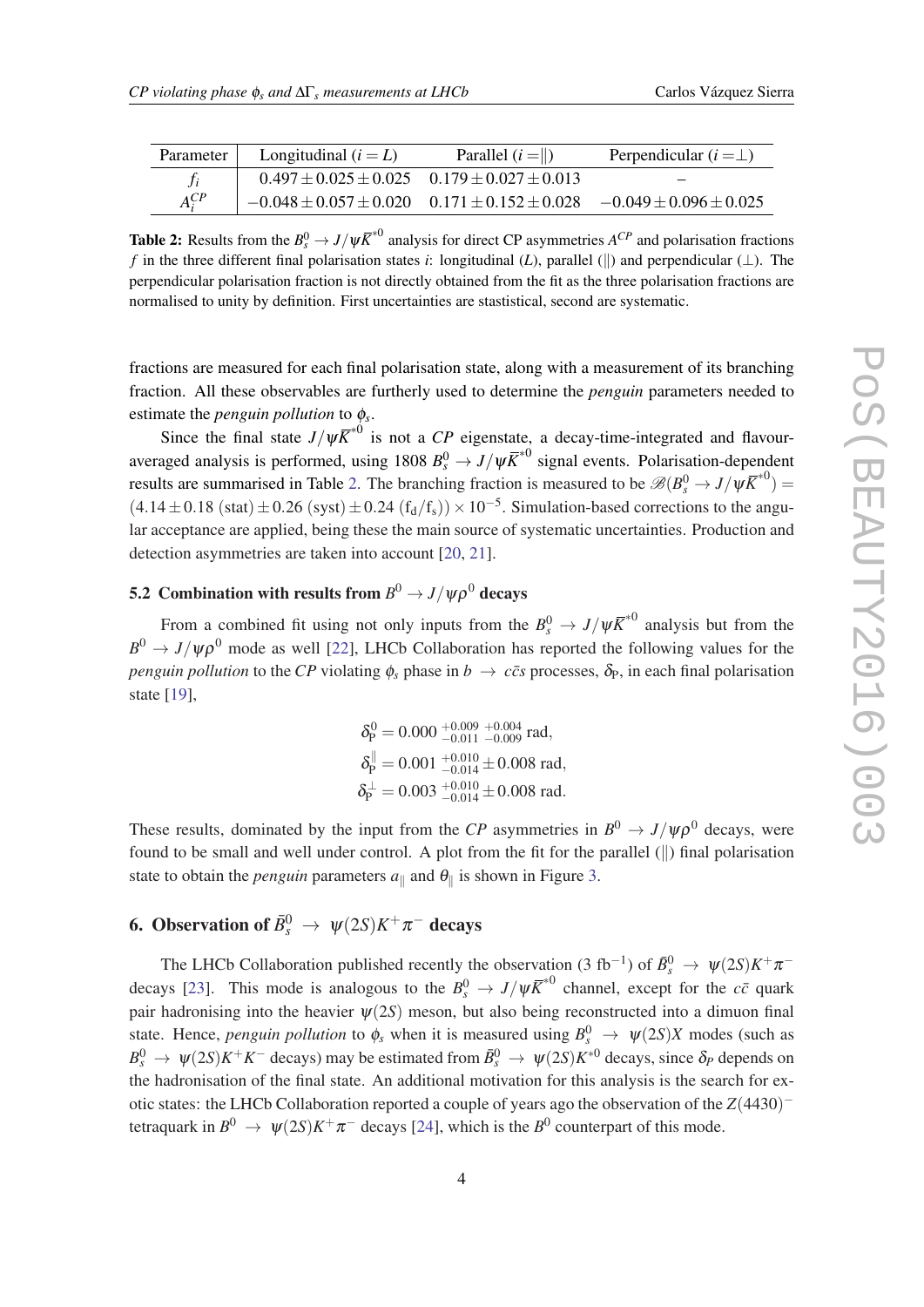| Parameter  | Longitudinal $(i = L)$                                   | Parallel $(i = \ )$ | Perpendicular $(i = \perp)$  |
|------------|----------------------------------------------------------|---------------------|------------------------------|
|            | $0.497 \pm 0.025 \pm 0.025$ $0.179 \pm 0.027 \pm 0.013$  |                     |                              |
| $A_i^{CP}$ | $-0.048 \pm 0.057 \pm 0.020$ $0.171 \pm 0.152 \pm 0.028$ |                     | $-0.049 \pm 0.096 \pm 0.025$ |

**Table 2:** Results from the  $B_s^0 \to J/\psi \overline{K}^{*0}$  analysis for direct CP asymmetries  $A^{CP}$  and polarisation fractions *f* in the three different final polarisation states *i*: longitudinal (*L*), parallel ( $\parallel$ ) and perpendicular ( $\perp$ ). The perpendicular polarisation fraction is not directly obtained from the fit as the three polarisation fractions are normalised to unity by definition. First uncertainties are stastistical, second are systematic.

fractions are measured for each final polarisation state, along with a measurement of its branching fraction. All these observables are furtherly used to determine the *penguin* parameters needed to estimate the *penguin pollution* to φ*<sup>s</sup>* .

Since the final state  $J/\psi \overline{K}^{*0}$  is not a *CP* eigenstate, a decay-time-integrated and flavouraveraged analysis is performed, using  $1808 B_s^0 \to J/\psi \overline{K}^{*0}$  signal events. Polarisation-dependent results are summarised in Table 2. The branching fraction is measured to be  $\mathscr{B}(B_s^0 \to J/\psi \overline{K}^{*0}) =$  $(4.14 \pm 0.18 \text{ (stat)} \pm 0.26 \text{ (syst)} \pm 0.24 \text{ (fd/fs)}) \times 10^{-5}$ . Simulation-based corrections to the angular acceptance are applied, being these the main source of systematic uncertainties. Production and detection asymmetries are taken into account [\[20](#page-7-0), [21](#page-7-0)].

### 5.2 Combination with results from  $B^0 \to J/\psi \rho^0$  decays

From a combined fit using not only inputs from the  $B_s^0 \to J/\psi \overline{K}^{*0}$  analysis but from the  $B^0 \to J/\psi \rho^0$  mode as well [[22\]](#page-7-0), LHCb Collaboration has reported the following values for the *penguin pollution* to the *CP* violating  $\phi_s$  phase in  $b \to c\bar{c}s$  processes,  $\delta_p$ , in each final polarisation state [[19\]](#page-7-0),

$$
\begin{array}{l} \delta_P^0=0.000~^{+0.009}_{-0.011}~^{+0.004}_{-0.009}~\text{rad},\\ \delta_P^{\parallel}=0.001~^{+0.010}_{-0.014}\pm0.008~\text{rad},\\ \delta_P^{\perp}=0.003~^{+0.010}_{-0.014}\pm0.008~\text{rad}. \end{array}
$$

These results, dominated by the input from the *CP* asymmetries in  $B^0 \to J/\psi \rho^0$  decays, were found to be small and well under control. A plot from the fit for the parallel (||) final polarisation state to obtain the *penguin* parameters  $a_{\parallel}$  and  $\theta_{\parallel}$  is shown in Figure [3.](#page-5-0)

### **6.** Observation of  $\bar{B}_s^0 \rightarrow \psi(2S)K^+\pi^-$  decays

The LHCb Collaboration published recently the observation (3 fb<sup>-1</sup>) of  $\bar{B}_s^0 \to \psi(2S)K^+\pi^-$ decays [\[23](#page-7-0)]. This mode is analogous to the  $B_s^0 \to J/\psi \overline{K}^{*0}$  channel, except for the  $c\bar{c}$  quark pair hadronising into the heavier  $\psi(2S)$  meson, but also being reconstructed into a dimuon final state. Hence, *penguin pollution* to  $\phi_s$  when it is measured using  $B_s^0 \to \psi(2S)X$  modes (such as  $B_s^0 \to \psi(2S)K^+K^-$  decays) may be estimated from  $\bar{B}_s^0 \to \psi(2S)K^{*0}$  decays, since  $\delta_P$  depends on the hadronisation of the final state. An additional motivation for this analysis is the search for exotic states: the LHCb Collaboration reported a couple of years ago the observation of the *Z*(4430) − tetraquark in  $B^0 \to \psi(2S)K^+\pi^-$  decays [[24\]](#page-7-0), which is the  $B^0$  counterpart of this mode.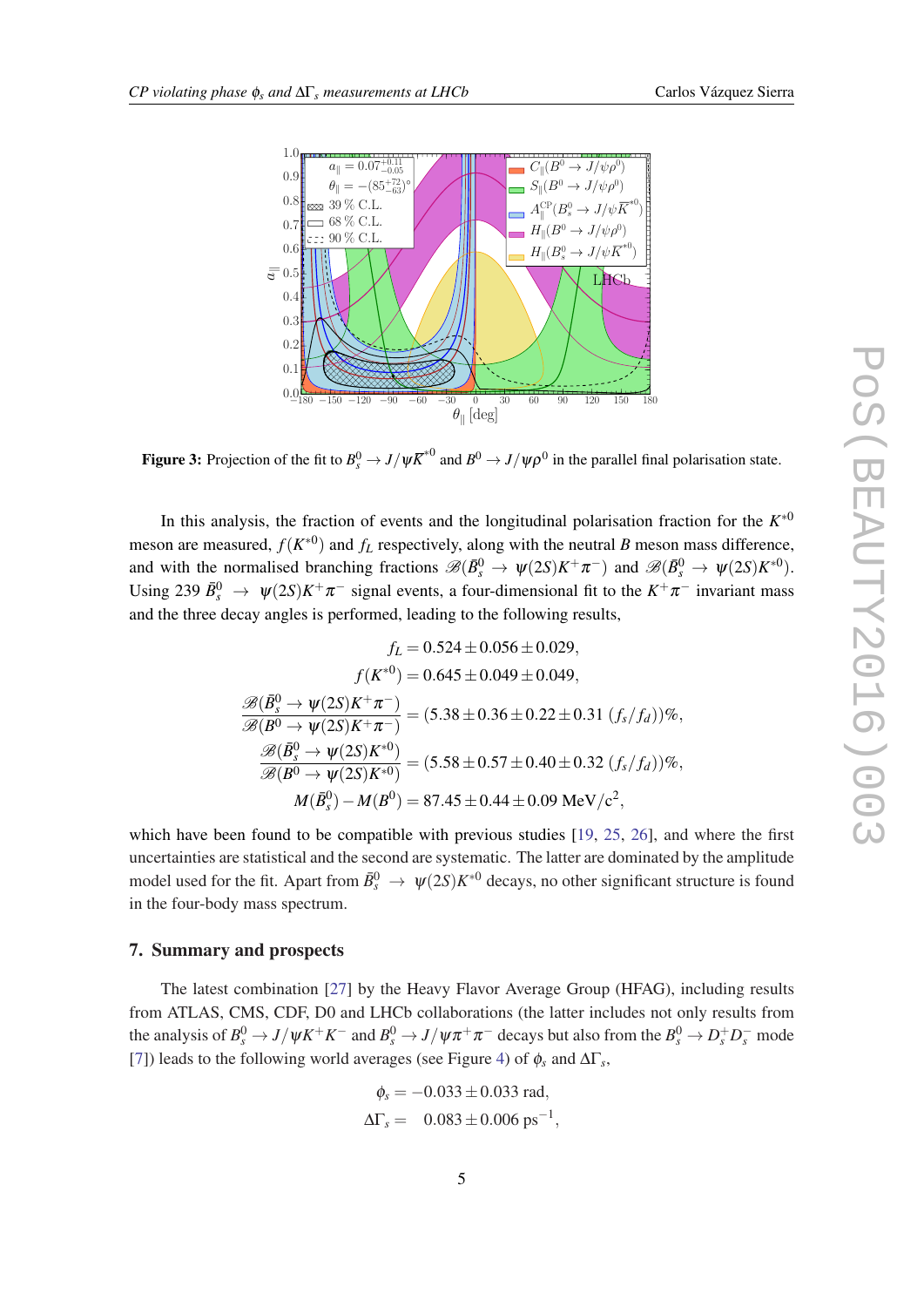<span id="page-5-0"></span>

Figure 3: Projection of the fit to  $B_s^0 \to J/\psi \overline{K}^{*0}$  and  $B^0 \to J/\psi \rho^0$  in the parallel final polarisation state.

In this analysis, the fraction of events and the longitudinal polarisation fraction for the  $K^{*0}$ meson are measured,  $f(K^{\ast 0})$  and  $f_L$  respectively, along with the neutral *B* meson mass difference, and with the normalised branching fractions  $\mathscr{B}(\bar{B}^0_s \to \psi(2S)K^+\pi^-)$  and  $\mathscr{B}(\bar{B}^0_s \to \psi(2S)K^{*0})$ . Using 239  $\bar{B}_s^0 \to \psi(2S)K^+\pi^-$  signal events, a four-dimensional fit to the  $K^+\pi^-$  invariant mass and the three decay angles is performed, leading to the following results,

$$
f_L = 0.524 \pm 0.056 \pm 0.029,
$$
  
\n
$$
f(K^{*0}) = 0.645 \pm 0.049 \pm 0.049,
$$
  
\n
$$
\mathcal{B}(\bar{B}_s^0 \to \psi(2S)K^+\pi^-) = (5.38 \pm 0.36 \pm 0.22 \pm 0.31 (f_s/f_d))\%,
$$
  
\n
$$
\mathcal{B}(\bar{B}_s^0 \to \psi(2S)K^{*0}) = (5.58 \pm 0.57 \pm 0.40 \pm 0.32 (f_s/f_d))\%,
$$
  
\n
$$
\mathcal{B}(\bar{B}_s^0 \to \psi(2S)K^{*0}) = (5.58 \pm 0.57 \pm 0.40 \pm 0.32 (f_s/f_d))\%,
$$
  
\n
$$
M(\bar{B}_s^0) - M(B^0) = 87.45 \pm 0.44 \pm 0.09 \text{ MeV}/c^2,
$$

which have been found to be compatible with previous studies [[19,](#page-7-0) [25](#page-7-0), [26\]](#page-7-0), and where the first uncertainties are statistical and the second are systematic. The latter are dominated by the amplitude model used for the fit. Apart from  $\bar{B}^0_s \to \psi(2S)K^{*0}$  decays, no other significant structure is found in the four-body mass spectrum.

#### 7. Summary and prospects

The latest combination [[27](#page-7-0)] by the Heavy Flavor Average Group (HFAG), including results from ATLAS, CMS, CDF, D0 and LHCb collaborations (the latter includes not only results from the analysis of  $B_s^0 \to J/\psi K^+ K^-$  and  $B_s^0 \to J/\psi \pi^+ \pi^-$  decays but also from the  $B_s^0 \to D_s^+ D_s^-$  mode [[7](#page-7-0)]) leads to the following world averages (see Figure [4](#page-6-0)) of  $\phi_s$  and  $\Delta\Gamma_s$ ,

$$
\phi_s = -0.033 \pm 0.033 \text{ rad},
$$
  
\n $\Delta \Gamma_s = 0.083 \pm 0.006 \text{ ps}^{-1},$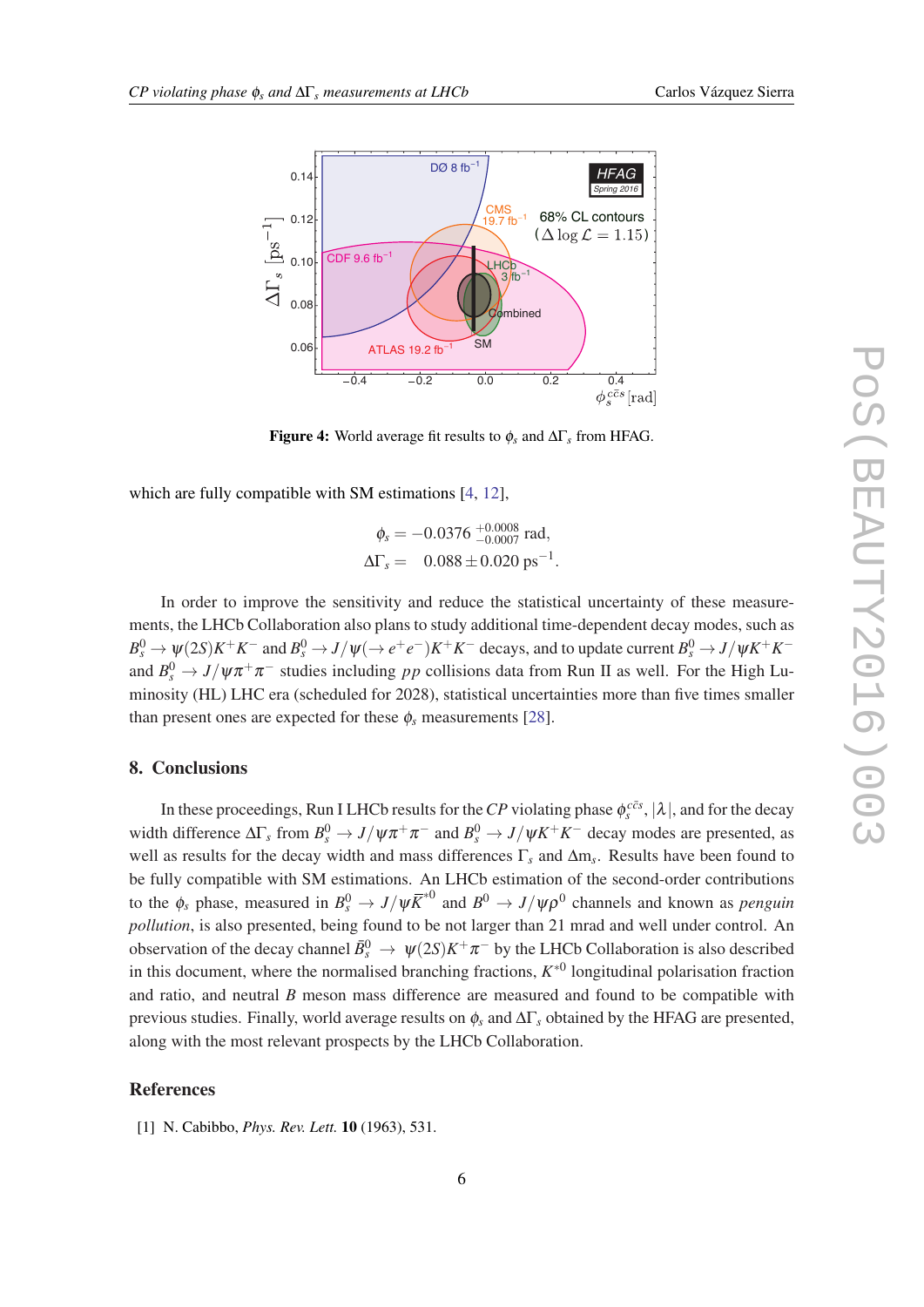<span id="page-6-0"></span>

Figure 4: World average fit results to φ*<sup>s</sup>* and ∆Γ*<sup>s</sup>* from HFAG.

which are fully compatible with SM estimations [[4](#page-7-0), [12\]](#page-7-0).

$$
\phi_s = -0.0376 \, {}^{+0.0008}_{-0.0007} \text{ rad},
$$
  
\n
$$
\Delta\Gamma_s = 0.088 \pm 0.020 \text{ ps}^{-1}.
$$

In order to improve the sensitivity and reduce the statistical uncertainty of these measurements, the LHCb Collaboration also plans to study additional time-dependent decay modes, such as  $B_s^0 \to \psi(2S)K^+K^-$  and  $B_s^0 \to J/\psi(\to e^+e^-)K^+K^-$  decays, and to update current  $B_s^0 \to J/\psi K^+K^$ and  $B_s^0 \to J/\psi \pi^+ \pi^-$  studies including *pp* collisions data from Run II as well. For the High Luminosity (HL) LHC era (scheduled for 2028), statistical uncertainties more than five times smaller than present ones are expected for these  $\phi_s$  measurements [[28](#page-7-0)].

#### 8. Conclusions

In these proceedings, Run I LHCb results for the *CP* violating phase  $\phi_s^{c\bar{c}s}$ ,  $|\lambda|$ , and for the decay width difference  $\Delta\Gamma_s$  from  $B_s^0 \to J/\psi \pi^+ \pi^-$  and  $B_s^0 \to J/\psi K^+ K^-$  decay modes are presented, as well as results for the decay width and mass differences Γ*<sup>s</sup>* and ∆m*<sup>s</sup>* . Results have been found to be fully compatible with SM estimations. An LHCb estimation of the second-order contributions to the  $\phi_s$  phase, measured in  $B_s^0 \to J/\psi \overline{K}^{*0}$  and  $B^0 \to J/\psi \rho^0$  channels and known as *penguin pollution*, is also presented, being found to be not larger than 21 mrad and well under control. An observation of the decay channel  $\bar{B}_s^0 \to \psi(2S)K^+\pi^-$  by the LHCb Collaboration is also described in this document, where the normalised branching fractions,  $K^{*0}$  longitudinal polarisation fraction and ratio, and neutral *B* meson mass difference are measured and found to be compatible with previous studies. Finally, world average results on φ*<sup>s</sup>* and ∆Γ*<sup>s</sup>* obtained by the HFAG are presented, along with the most relevant prospects by the LHCb Collaboration.

#### References

[1] N. Cabibbo, *Phys. Rev. Lett.* 10 (1963), 531.